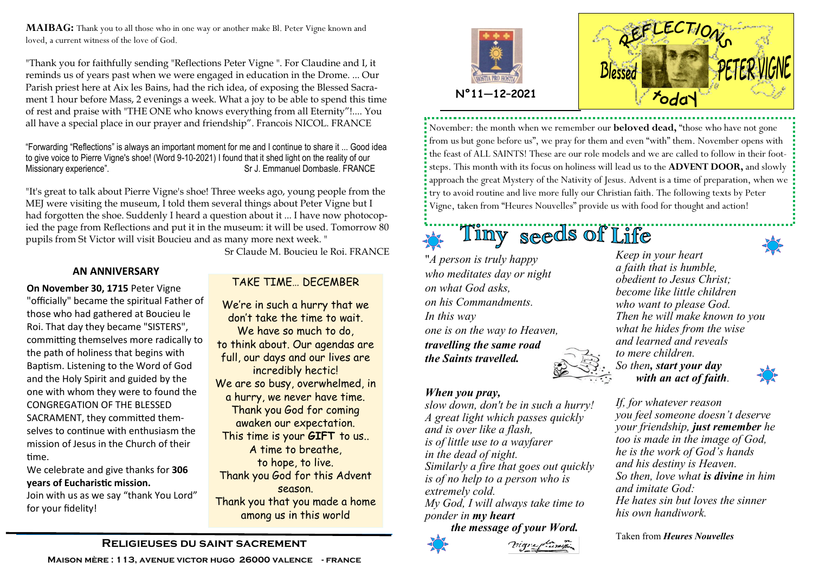**MAIBAG:** Thank you to all those who in one way or another make Bl. Peter Vigne known and loved, a current witness of the love of God.

"Thank you for faithfully sending "Reflections Peter Vigne ". For Claudine and I, it reminds us of years past when we were engaged in education in the Drome. ... Our Parish priest here at Aix les Bains, had the rich idea, of exposing the Blessed Sacrament 1 hour before Mass, 2 evenings a week. What a joy to be able to spend this time of rest and praise with "THE ONE who knows everything from all Eternity"!.... You all have a special place in our prayer and friendship". Francois NICOL. FRANCE

"Forwarding "Reflections" is always an important moment for me and I continue to share it ... Good idea to give voice to Pierre Vigne's shoe! (Word 9-10-2021) I found that it shed light on the reality of our Missionary experience". Sr J. Emmanuel Dombasle. FRANCE

"It's great to talk about Pierre Vigne's shoe! Three weeks ago, young people from the MEJ were visiting the museum, I told them several things about Peter Vigne but I had forgotten the shoe. Suddenly I heard a question about it ... I have now photocopied the page from Reflections and put it in the museum: it will be used. Tomorrow 80 pupils from St Victor will visit Boucieu and as many more next week. "

Sr Claude M. Boucieu le Roi. FRANCE

### **AN ANNIVERSARY**

**On November 30, 1715** Peter Vigne "officially" became the spiritual Father of those who had gathered at Boucieu le Roi. That day they became "SISTERS", committing themselves more radically to the path of holiness that begins with Baptism. Listening to the Word of God and the Holy Spirit and guided by the one with whom they were to found the CONGREGATION OF THE BLESSED SACRAMENT, they committed themselves to continue with enthusiasm the mission of Jesus in the Church of their time.

We celebrate and give thanks for **306 years of Eucharistic mission.**

Join with us as we say "thank You Lord" for your fidelity!

## TAKE TIME… DECEMBER

We're in such a hurry that we don't take the time to wait. We have so much to do, to think about. Our agendas are full, our days and our lives are incredibly hectic! We are so busy, overwhelmed, in a hurry, we never have time. Thank you God for coming awaken our expectation. This time is your **GIFT** to us.. A time to breathe, to hope, to live. Thank you God for this Advent season. Thank you that you made a home among us in this world





November: the month when we remember our **beloved dead,** "those who have not gone from us but gone before us", we pray for them and even "with" them. November opens with the feast of ALL SAINTS! These are our role models and we are called to follow in their footsteps. This month with its focus on holiness will lead us to the **ADVENT DOOR,** and slowly approach the great Mystery of the Nativity of Jesus. Advent is a time of preparation, when we try to avoid routine and live more fully our Christian faith. The following texts by Peter Vigne, taken from "Heures Nouvelles" provide us with food for thought and action!

Tiny seeds of Life

"*A person is truly happy who meditates day or night on what God asks, on his Commandments. In this way one is on the way to Heaven, travelling the same road the Saints travelled.* 

## *When you pray,*

*slow down, don't be in such a hurry! A great light which passes quickly and is over like a flash, is of little use to a wayfarer in the dead of night. Similarly a fire that goes out quickly is of no help to a person who is extremely cold. My God, I will always take time to ponder in my heart the message of your Word.*





*If, for whatever reason you feel someone doesn't deserve your friendship, just remember he too is made in the image of God, he is the work of God's hands and his destiny is Heaven. So then, love what is divine in him and imitate God: He hates sin but loves the sinner his own handiwork.*

Taken from *Heures Nouvelles* 

## **Religieuses du saint sacrement**

**Maison mère : 113, avenue victor hugo 26000 valence - france**